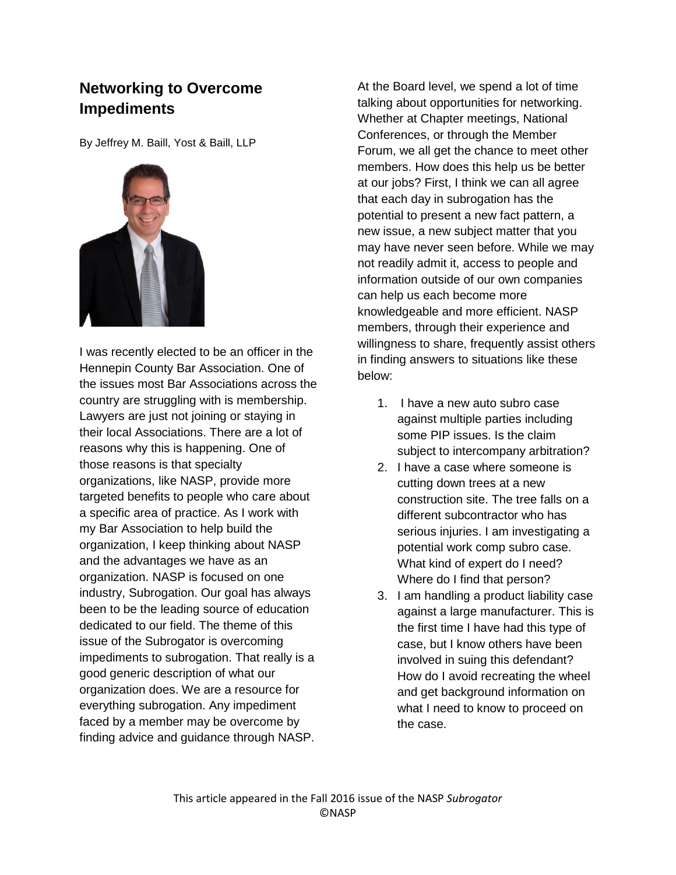## **Networking to Overcome Impediments**

By Jeffrey M. Baill, Yost & Baill, LLP



I was recently elected to be an officer in the Hennepin County Bar Association. One of the issues most Bar Associations across the country are struggling with is membership. Lawyers are just not joining or staying in their local Associations. There are a lot of reasons why this is happening. One of those reasons is that specialty organizations, like NASP, provide more targeted benefits to people who care about a specific area of practice. As I work with my Bar Association to help build the organization, I keep thinking about NASP and the advantages we have as an organization. NASP is focused on one industry, Subrogation. Our goal has always been to be the leading source of education dedicated to our field. The theme of this issue of the Subrogator is overcoming impediments to subrogation. That really is a good generic description of what our organization does. We are a resource for everything subrogation. Any impediment faced by a member may be overcome by finding advice and guidance through NASP.

At the Board level, we spend a lot of time talking about opportunities for networking. Whether at Chapter meetings, National Conferences, or through the Member Forum, we all get the chance to meet other members. How does this help us be better at our jobs? First, I think we can all agree that each day in subrogation has the potential to present a new fact pattern, a new issue, a new subject matter that you may have never seen before. While we may not readily admit it, access to people and information outside of our own companies can help us each become more knowledgeable and more efficient. NASP members, through their experience and willingness to share, frequently assist others in finding answers to situations like these below:

- 1. I have a new auto subro case against multiple parties including some PIP issues. Is the claim subject to intercompany arbitration?
- 2. I have a case where someone is cutting down trees at a new construction site. The tree falls on a different subcontractor who has serious injuries. I am investigating a potential work comp subro case. What kind of expert do I need? Where do I find that person?
- 3. I am handling a product liability case against a large manufacturer. This is the first time I have had this type of case, but I know others have been involved in suing this defendant? How do I avoid recreating the wheel and get background information on what I need to know to proceed on the case.

This article appeared in the Fall 2016 issue of the NASP *Subrogator* ©NASP